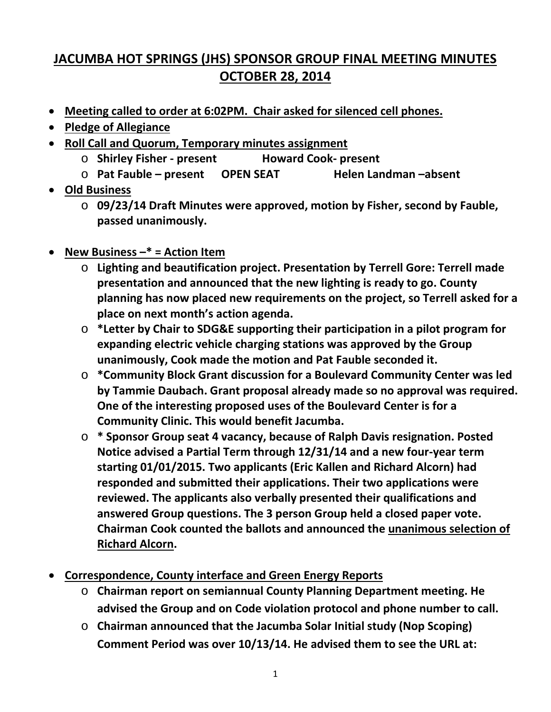## **JACUMBA HOT SPRINGS (JHS) SPONSOR GROUP FINAL MEETING MINUTES OCTOBER 28, 2014**

- **Meeting called to order at 6:02PM. Chair asked for silenced cell phones.**
- **Pledge of Allegiance**
- **Roll Call and Quorum, Temporary minutes assignment**
	- o **Shirley Fisher - present Howard Cook- present**
	- o **Pat Fauble – present OPEN SEAT Helen Landman –absent**
- **Old Business**
	- o **09/23/14 Draft Minutes were approved, motion by Fisher, second by Fauble, passed unanimously.**
- **New Business –\* = Action Item**
	- o **Lighting and beautification project. Presentation by Terrell Gore: Terrell made presentation and announced that the new lighting is ready to go. County planning has now placed new requirements on the project, so Terrell asked for a place on next month's action agenda.**
	- o **\*Letter by Chair to SDG&E supporting their participation in a pilot program for expanding electric vehicle charging stations was approved by the Group unanimously, Cook made the motion and Pat Fauble seconded it.**
	- o **\*Community Block Grant discussion for a Boulevard Community Center was led by Tammie Daubach. Grant proposal already made so no approval was required. One of the interesting proposed uses of the Boulevard Center is for a Community Clinic. This would benefit Jacumba.**
	- o **\* Sponsor Group seat 4 vacancy, because of Ralph Davis resignation. Posted Notice advised a Partial Term through 12/31/14 and a new four-year term starting 01/01/2015. Two applicants (Eric Kallen and Richard Alcorn) had responded and submitted their applications. Their two applications were reviewed. The applicants also verbally presented their qualifications and answered Group questions. The 3 person Group held a closed paper vote. Chairman Cook counted the ballots and announced the unanimous selection of Richard Alcorn.**
- **Correspondence, County interface and Green Energy Reports**
	- o **Chairman report on semiannual County Planning Department meeting. He advised the Group and on Code violation protocol and phone number to call.**
	- o **Chairman announced that the Jacumba Solar Initial study (Nop Scoping) Comment Period was over 10/13/14. He advised them to see the URL at:**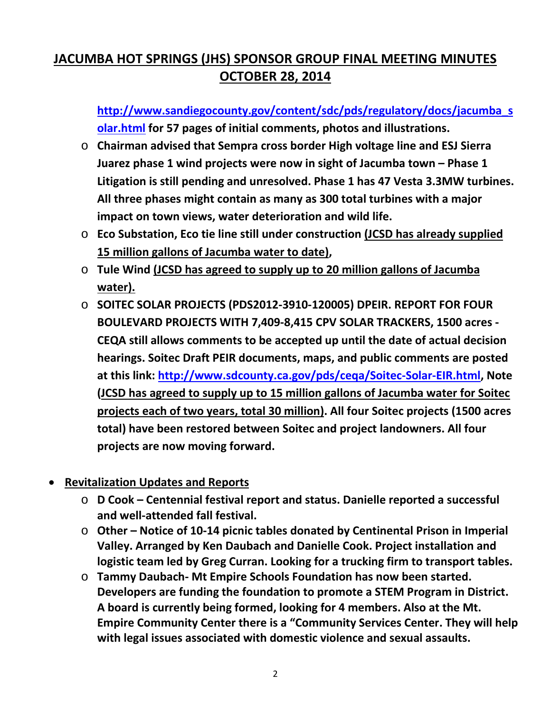## **JACUMBA HOT SPRINGS (JHS) SPONSOR GROUP FINAL MEETING MINUTES OCTOBER 28, 2014**

**[http://www.sandiegocounty.gov/content/sdc/pds/regulatory/docs/jacumba\\_s](http://www.sandiegocounty.gov/content/sdc/pds/regulatory/docs/jacumba_solar.html) [olar.html](http://www.sandiegocounty.gov/content/sdc/pds/regulatory/docs/jacumba_solar.html) for 57 pages of initial comments, photos and illustrations.**

- o **Chairman advised that Sempra cross border High voltage line and ESJ Sierra Juarez phase 1 wind projects were now in sight of Jacumba town – Phase 1 Litigation is still pending and unresolved. Phase 1 has 47 Vesta 3.3MW turbines. All three phases might contain as many as 300 total turbines with a major impact on town views, water deterioration and wild life.**
- o **Eco Substation, Eco tie line still under construction (JCSD has already supplied 15 million gallons of Jacumba water to date),**
- o **Tule Wind (JCSD has agreed to supply up to 20 million gallons of Jacumba water).**
- o **SOITEC SOLAR PROJECTS (PDS2012-3910-120005) DPEIR. REPORT FOR FOUR BOULEVARD PROJECTS WITH 7,409-8,415 CPV SOLAR TRACKERS, 1500 acres - CEQA still allows comments to be accepted up until the date of actual decision hearings. Soitec Draft PEIR documents, maps, and public comments are posted at this link: [http://www.sdcounty.ca.gov/pds/ceqa/Soitec-Solar-EIR.html,](http://www.sdcounty.ca.gov/pds/ceqa/Soitec-Solar-EIR.html) Note (JCSD has agreed to supply up to 15 million gallons of Jacumba water for Soitec projects each of two years, total 30 million). All four Soitec projects (1500 acres total) have been restored between Soitec and project landowners. All four projects are now moving forward.**

## • **Revitalization Updates and Reports**

- o **D Cook – Centennial festival report and status. Danielle reported a successful and well-attended fall festival.**
- o **Other – Notice of 10-14 picnic tables donated by Centinental Prison in Imperial Valley. Arranged by Ken Daubach and Danielle Cook. Project installation and logistic team led by Greg Curran. Looking for a trucking firm to transport tables.**
- o **Tammy Daubach- Mt Empire Schools Foundation has now been started. Developers are funding the foundation to promote a STEM Program in District. A board is currently being formed, looking for 4 members. Also at the Mt. Empire Community Center there is a "Community Services Center. They will help with legal issues associated with domestic violence and sexual assaults.**